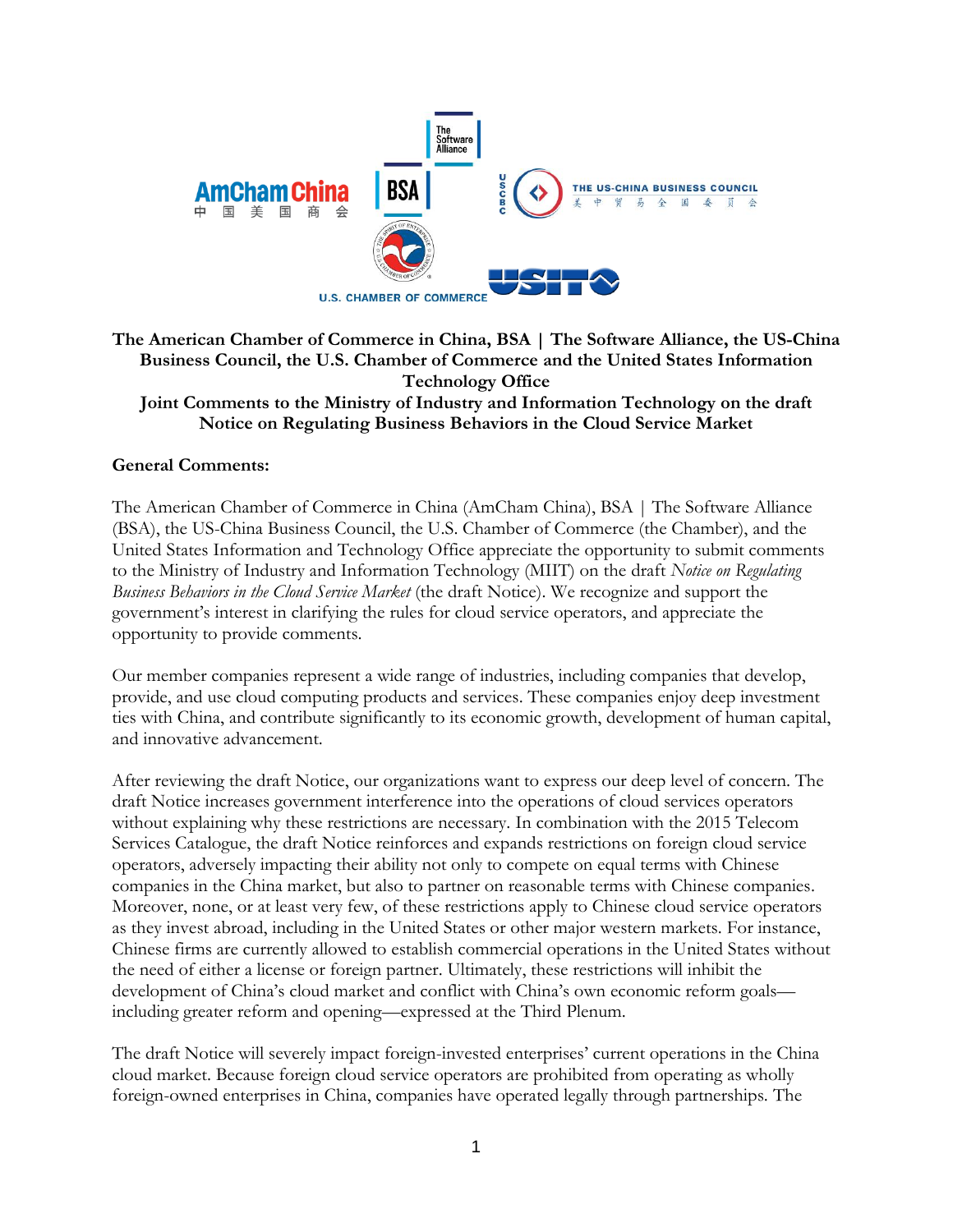

## **The American Chamber of Commerce in China, BSA | The Software Alliance, the US-China Business Council, the U.S. Chamber of Commerce and the United States Information Technology Office Joint Comments to the Ministry of Industry and Information Technology on the draft Notice on Regulating Business Behaviors in the Cloud Service Market**

## **General Comments:**

The American Chamber of Commerce in China (AmCham China), BSA | The Software Alliance (BSA), the US-China Business Council, the U.S. Chamber of Commerce (the Chamber), and the United States Information and Technology Office appreciate the opportunity to submit comments to the Ministry of Industry and Information Technology (MIIT) on the draft *Notice on Regulating Business Behaviors in the Cloud Service Market* (the draft Notice). We recognize and support the government's interest in clarifying the rules for cloud service operators, and appreciate the opportunity to provide comments.

Our member companies represent a wide range of industries, including companies that develop, provide, and use cloud computing products and services. These companies enjoy deep investment ties with China, and contribute significantly to its economic growth, development of human capital, and innovative advancement.

After reviewing the draft Notice, our organizations want to express our deep level of concern. The draft Notice increases government interference into the operations of cloud services operators without explaining why these restrictions are necessary. In combination with the 2015 Telecom Services Catalogue, the draft Notice reinforces and expands restrictions on foreign cloud service operators, adversely impacting their ability not only to compete on equal terms with Chinese companies in the China market, but also to partner on reasonable terms with Chinese companies. Moreover, none, or at least very few, of these restrictions apply to Chinese cloud service operators as they invest abroad, including in the United States or other major western markets. For instance, Chinese firms are currently allowed to establish commercial operations in the United States without the need of either a license or foreign partner. Ultimately, these restrictions will inhibit the development of China's cloud market and conflict with China's own economic reform goals including greater reform and opening—expressed at the Third Plenum.

The draft Notice will severely impact foreign-invested enterprises' current operations in the China cloud market. Because foreign cloud service operators are prohibited from operating as wholly foreign-owned enterprises in China, companies have operated legally through partnerships. The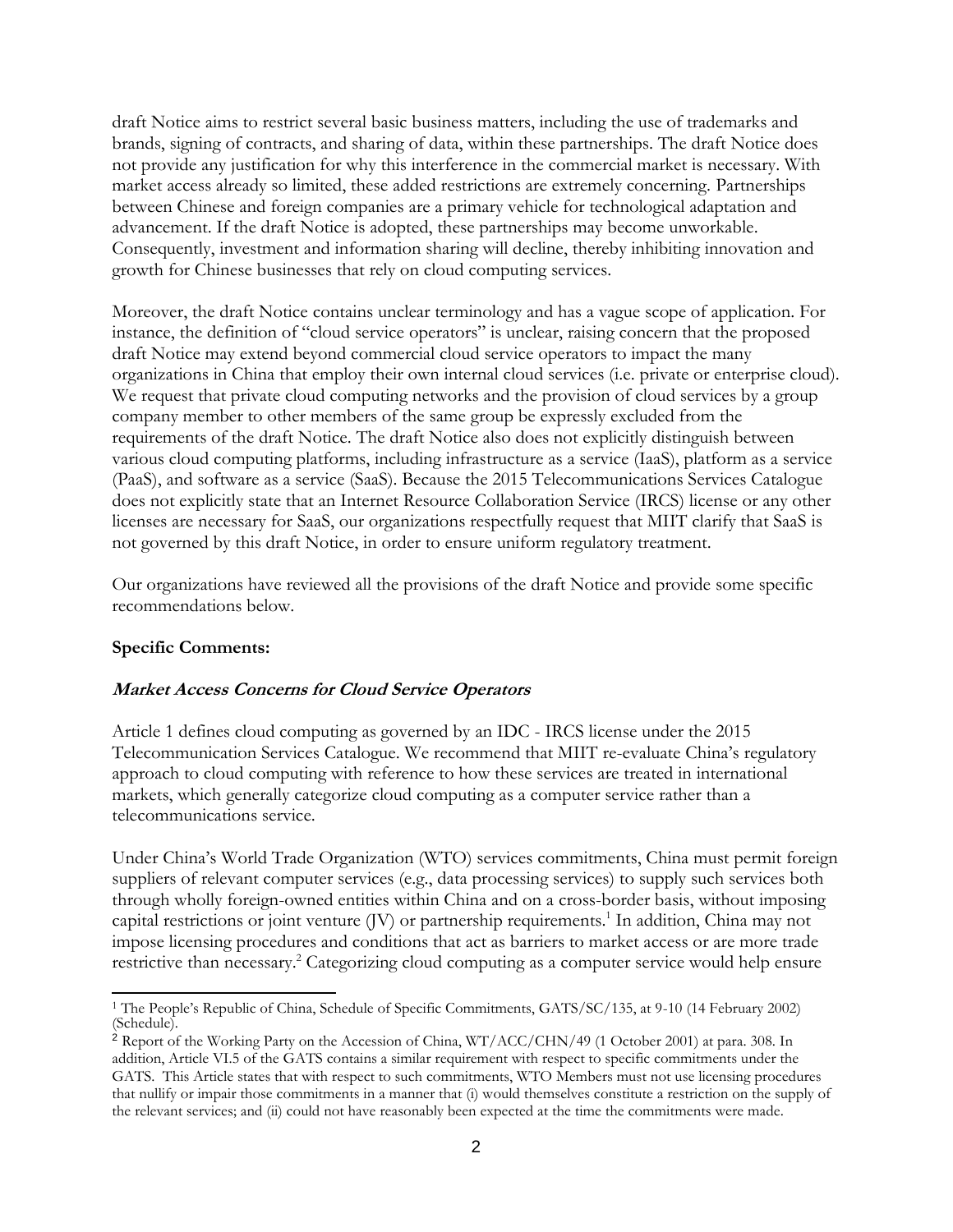draft Notice aims to restrict several basic business matters, including the use of trademarks and brands, signing of contracts, and sharing of data, within these partnerships. The draft Notice does not provide any justification for why this interference in the commercial market is necessary. With market access already so limited, these added restrictions are extremely concerning. Partnerships between Chinese and foreign companies are a primary vehicle for technological adaptation and advancement. If the draft Notice is adopted, these partnerships may become unworkable. Consequently, investment and information sharing will decline, thereby inhibiting innovation and growth for Chinese businesses that rely on cloud computing services.

Moreover, the draft Notice contains unclear terminology and has a vague scope of application. For instance, the definition of "cloud service operators" is unclear, raising concern that the proposed draft Notice may extend beyond commercial cloud service operators to impact the many organizations in China that employ their own internal cloud services (i.e. private or enterprise cloud). We request that private cloud computing networks and the provision of cloud services by a group company member to other members of the same group be expressly excluded from the requirements of the draft Notice. The draft Notice also does not explicitly distinguish between various cloud computing platforms, including infrastructure as a service (IaaS), platform as a service (PaaS), and software as a service (SaaS). Because the 2015 Telecommunications Services Catalogue does not explicitly state that an Internet Resource Collaboration Service (IRCS) license or any other licenses are necessary for SaaS, our organizations respectfully request that MIIT clarify that SaaS is not governed by this draft Notice, in order to ensure uniform regulatory treatment.

Our organizations have reviewed all the provisions of the draft Notice and provide some specific recommendations below.

## **Specific Comments:**

#### **Market Access Concerns for Cloud Service Operators**

Article 1 defines cloud computing as governed by an IDC - IRCS license under the 2015 Telecommunication Services Catalogue. We recommend that MIIT re-evaluate China's regulatory approach to cloud computing with reference to how these services are treated in international markets, which generally categorize cloud computing as a computer service rather than a telecommunications service.

Under China's World Trade Organization (WTO) services commitments, China must permit foreign suppliers of relevant computer services (e.g., data processing services) to supply such services both through wholly foreign-owned entities within China and on a cross-border basis, without imposing capital restrictions or joint venture (JV) or partnership requirements.<sup>1</sup> In addition, China may not impose licensing procedures and conditions that act as barriers to market access or are more trade restrictive than necessary.<sup>2</sup> Categorizing cloud computing as a computer service would help ensure

 <sup>1</sup> The People's Republic of China, Schedule of Specific Commitments, GATS/SC/135, at 9-10 (14 February 2002) (Schedule).

<sup>2</sup> Report of the Working Party on the Accession of China, WT/ACC/CHN/49 (1 October 2001) at para. 308. In addition, Article VI.5 of the GATS contains a similar requirement with respect to specific commitments under the GATS. This Article states that with respect to such commitments, WTO Members must not use licensing procedures that nullify or impair those commitments in a manner that (i) would themselves constitute a restriction on the supply of the relevant services; and (ii) could not have reasonably been expected at the time the commitments were made.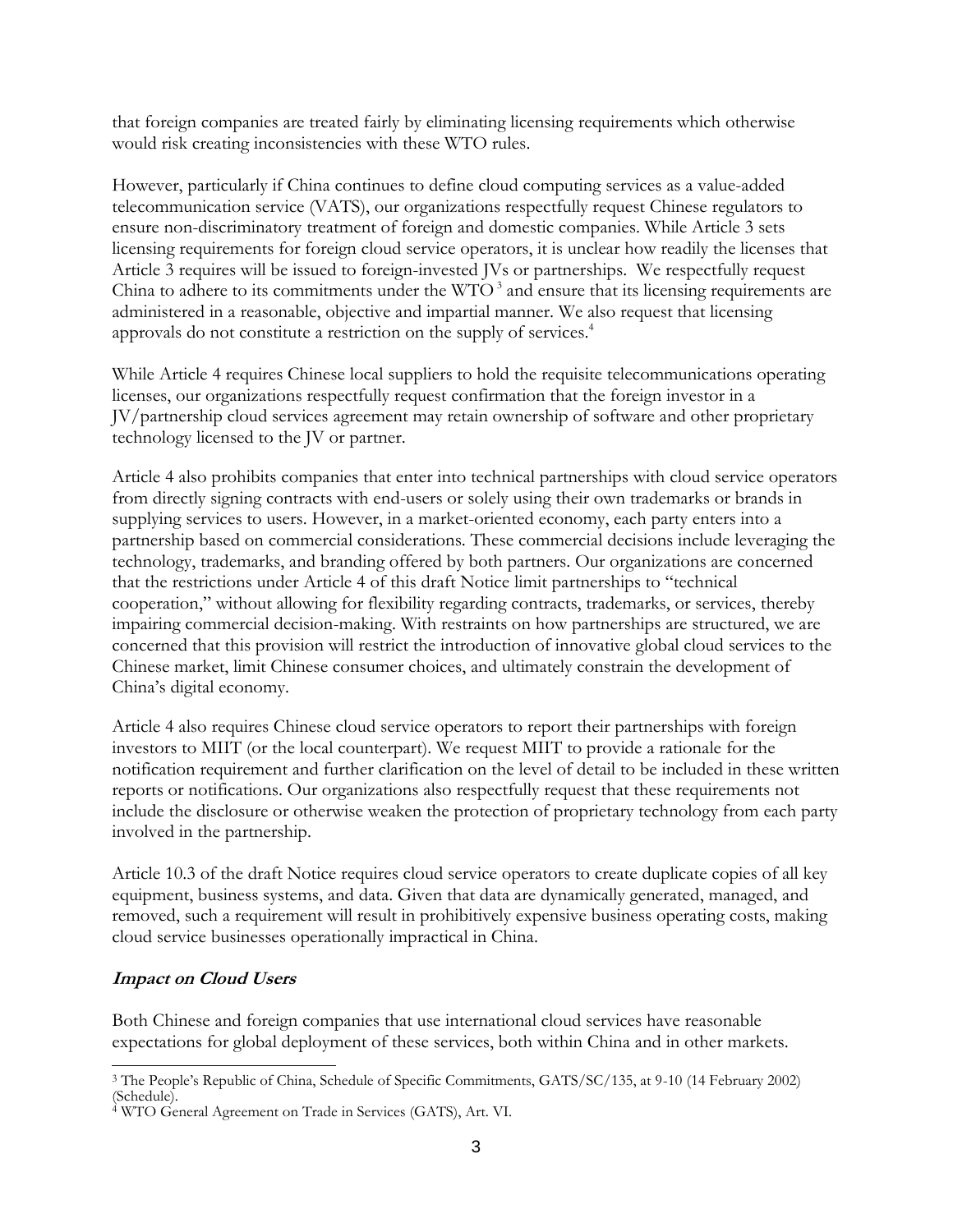that foreign companies are treated fairly by eliminating licensing requirements which otherwise would risk creating inconsistencies with these WTO rules.

However, particularly if China continues to define cloud computing services as a value-added telecommunication service (VATS), our organizations respectfully request Chinese regulators to ensure non-discriminatory treatment of foreign and domestic companies. While Article 3 sets licensing requirements for foreign cloud service operators, it is unclear how readily the licenses that Article 3 requires will be issued to foreign-invested JVs or partnerships. We respectfully request China to adhere to its commitments under the  $WTO<sup>3</sup>$  and ensure that its licensing requirements are administered in a reasonable, objective and impartial manner. We also request that licensing approvals do not constitute a restriction on the supply of services.<sup>4</sup>

While Article 4 requires Chinese local suppliers to hold the requisite telecommunications operating licenses, our organizations respectfully request confirmation that the foreign investor in a JV/partnership cloud services agreement may retain ownership of software and other proprietary technology licensed to the JV or partner.

Article 4 also prohibits companies that enter into technical partnerships with cloud service operators from directly signing contracts with end-users or solely using their own trademarks or brands in supplying services to users. However, in a market-oriented economy, each party enters into a partnership based on commercial considerations. These commercial decisions include leveraging the technology, trademarks, and branding offered by both partners. Our organizations are concerned that the restrictions under Article 4 of this draft Notice limit partnerships to "technical cooperation," without allowing for flexibility regarding contracts, trademarks, or services, thereby impairing commercial decision-making. With restraints on how partnerships are structured, we are concerned that this provision will restrict the introduction of innovative global cloud services to the Chinese market, limit Chinese consumer choices, and ultimately constrain the development of China's digital economy.

Article 4 also requires Chinese cloud service operators to report their partnerships with foreign investors to MIIT (or the local counterpart). We request MIIT to provide a rationale for the notification requirement and further clarification on the level of detail to be included in these written reports or notifications. Our organizations also respectfully request that these requirements not include the disclosure or otherwise weaken the protection of proprietary technology from each party involved in the partnership.

Article 10.3 of the draft Notice requires cloud service operators to create duplicate copies of all key equipment, business systems, and data. Given that data are dynamically generated, managed, and removed, such a requirement will result in prohibitively expensive business operating costs, making cloud service businesses operationally impractical in China.

## **Impact on Cloud Users**

Both Chinese and foreign companies that use international cloud services have reasonable expectations for global deployment of these services, both within China and in other markets.

 $\overline{a}$ <sup>3</sup> The People's Republic of China, Schedule of Specific Commitments, GATS/SC/135, at 9-10 (14 February 2002) (Schedule).

<sup>&</sup>lt;sup>4</sup> WTO General Agreement on Trade in Services (GATS), Art. VI.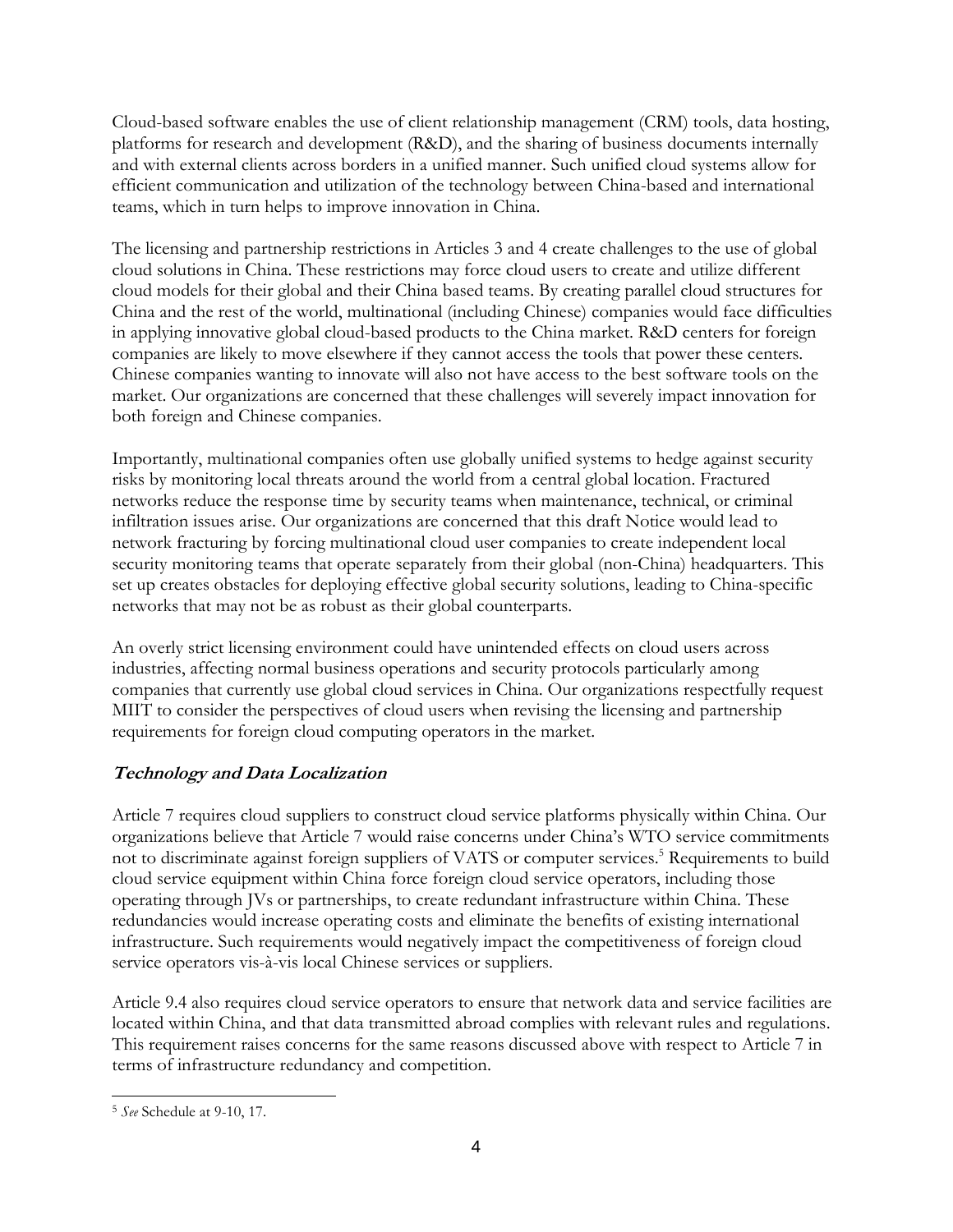Cloud-based software enables the use of client relationship management (CRM) tools, data hosting, platforms for research and development (R&D), and the sharing of business documents internally and with external clients across borders in a unified manner. Such unified cloud systems allow for efficient communication and utilization of the technology between China-based and international teams, which in turn helps to improve innovation in China.

The licensing and partnership restrictions in Articles 3 and 4 create challenges to the use of global cloud solutions in China. These restrictions may force cloud users to create and utilize different cloud models for their global and their China based teams. By creating parallel cloud structures for China and the rest of the world, multinational (including Chinese) companies would face difficulties in applying innovative global cloud-based products to the China market. R&D centers for foreign companies are likely to move elsewhere if they cannot access the tools that power these centers. Chinese companies wanting to innovate will also not have access to the best software tools on the market. Our organizations are concerned that these challenges will severely impact innovation for both foreign and Chinese companies.

Importantly, multinational companies often use globally unified systems to hedge against security risks by monitoring local threats around the world from a central global location. Fractured networks reduce the response time by security teams when maintenance, technical, or criminal infiltration issues arise. Our organizations are concerned that this draft Notice would lead to network fracturing by forcing multinational cloud user companies to create independent local security monitoring teams that operate separately from their global (non-China) headquarters. This set up creates obstacles for deploying effective global security solutions, leading to China-specific networks that may not be as robust as their global counterparts.

An overly strict licensing environment could have unintended effects on cloud users across industries, affecting normal business operations and security protocols particularly among companies that currently use global cloud services in China. Our organizations respectfully request MIIT to consider the perspectives of cloud users when revising the licensing and partnership requirements for foreign cloud computing operators in the market.

# **Technology and Data Localization**

Article 7 requires cloud suppliers to construct cloud service platforms physically within China. Our organizations believe that Article 7 would raise concerns under China's WTO service commitments not to discriminate against foreign suppliers of VATS or computer services. <sup>5</sup> Requirements to build cloud service equipment within China force foreign cloud service operators, including those operating through JVs or partnerships, to create redundant infrastructure within China. These redundancies would increase operating costs and eliminate the benefits of existing international infrastructure. Such requirements would negatively impact the competitiveness of foreign cloud service operators vis-à-vis local Chinese services or suppliers.

Article 9.4 also requires cloud service operators to ensure that network data and service facilities are located within China, and that data transmitted abroad complies with relevant rules and regulations. This requirement raises concerns for the same reasons discussed above with respect to Article 7 in terms of infrastructure redundancy and competition.

 <sup>5</sup> *See* Schedule at 9-10, 17.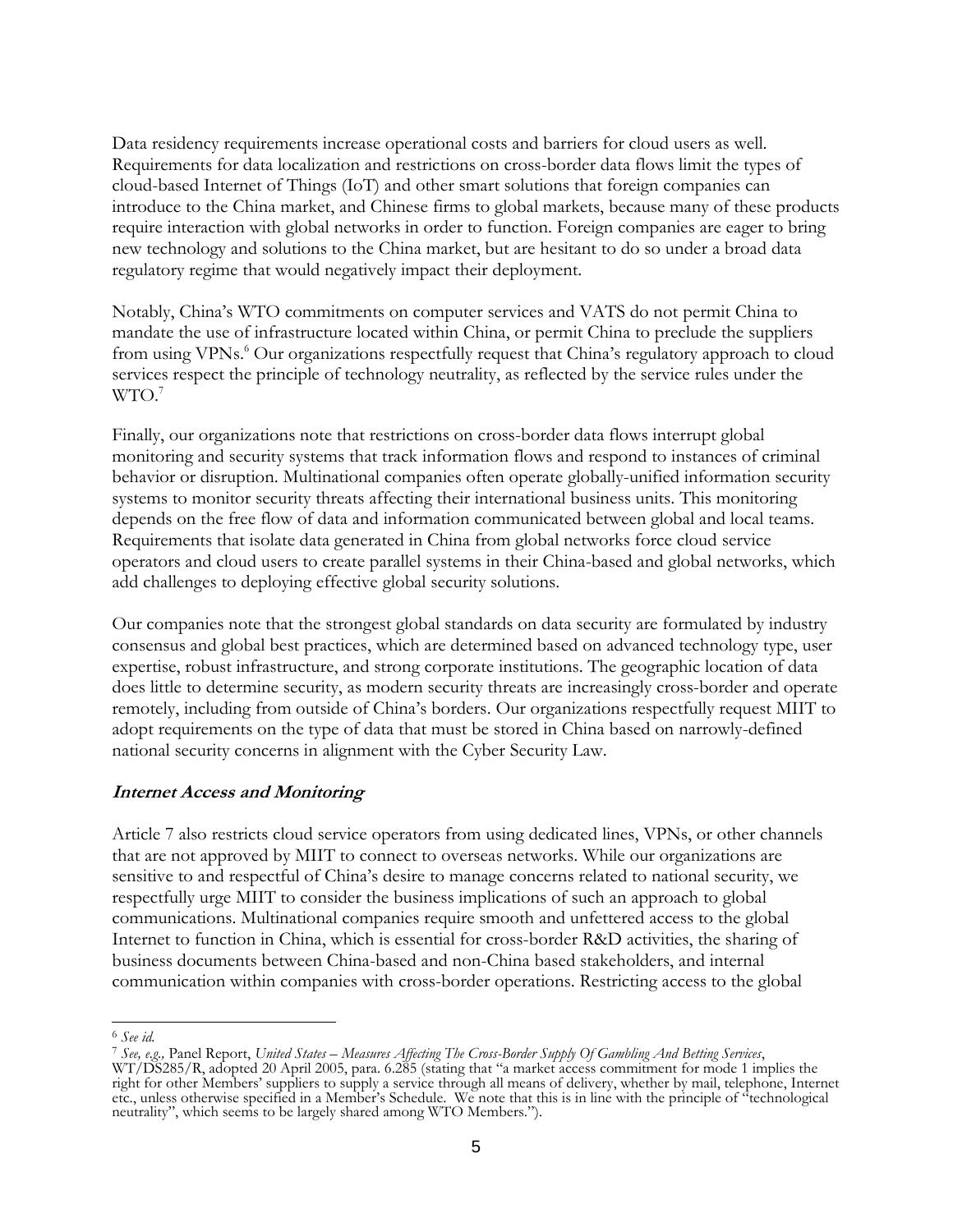Data residency requirements increase operational costs and barriers for cloud users as well. Requirements for data localization and restrictions on cross-border data flows limit the types of cloud-based Internet of Things (IoT) and other smart solutions that foreign companies can introduce to the China market, and Chinese firms to global markets, because many of these products require interaction with global networks in order to function. Foreign companies are eager to bring new technology and solutions to the China market, but are hesitant to do so under a broad data regulatory regime that would negatively impact their deployment.

Notably, China's WTO commitments on computer services and VATS do not permit China to mandate the use of infrastructure located within China, or permit China to preclude the suppliers from using VPNs. <sup>6</sup> Our organizations respectfully request that China's regulatory approach to cloud services respect the principle of technology neutrality, as reflected by the service rules under the WTO. 7

Finally, our organizations note that restrictions on cross-border data flows interrupt global monitoring and security systems that track information flows and respond to instances of criminal behavior or disruption. Multinational companies often operate globally-unified information security systems to monitor security threats affecting their international business units. This monitoring depends on the free flow of data and information communicated between global and local teams. Requirements that isolate data generated in China from global networks force cloud service operators and cloud users to create parallel systems in their China-based and global networks, which add challenges to deploying effective global security solutions.

Our companies note that the strongest global standards on data security are formulated by industry consensus and global best practices, which are determined based on advanced technology type, user expertise, robust infrastructure, and strong corporate institutions. The geographic location of data does little to determine security, as modern security threats are increasingly cross-border and operate remotely, including from outside of China's borders. Our organizations respectfully request MIIT to adopt requirements on the type of data that must be stored in China based on narrowly-defined national security concerns in alignment with the Cyber Security Law.

#### **Internet Access and Monitoring**

Article 7 also restricts cloud service operators from using dedicated lines, VPNs, or other channels that are not approved by MIIT to connect to overseas networks. While our organizations are sensitive to and respectful of China's desire to manage concerns related to national security, we respectfully urge MIIT to consider the business implications of such an approach to global communications. Multinational companies require smooth and unfettered access to the global Internet to function in China, which is essential for cross-border R&D activities, the sharing of business documents between China-based and non-China based stakeholders, and internal communication within companies with cross-border operations. Restricting access to the global

 $\overline{a}$ 

<sup>6</sup> *See id.*

<sup>7</sup> *See, e.g.,* Panel Report, *United States – Measures Affecting The Cross-Border Supply Of Gambling And Betting Services*, WT/DS285/R, adopted 20 April 2005, para. 6.285 (stating that "a market access commitment for mode 1 implies the right for other Members' suppliers to supply a service through all means of delivery, whether by mail, telephone, Internet etc., unless otherwise specified in a Member's Schedule. We note that this is in line with the principle of "technological neutrality", which seems to be largely shared among WTO Members.").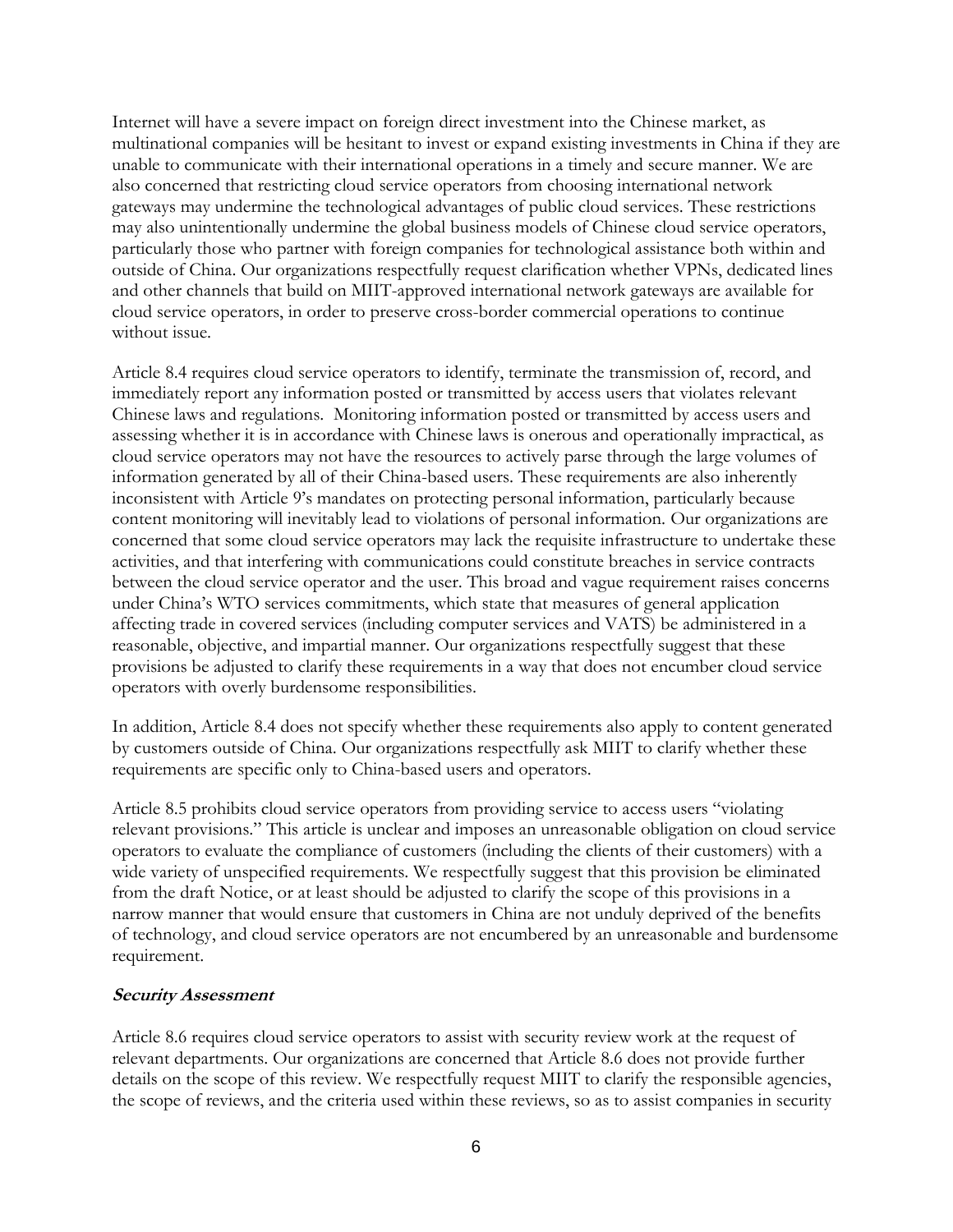Internet will have a severe impact on foreign direct investment into the Chinese market, as multinational companies will be hesitant to invest or expand existing investments in China if they are unable to communicate with their international operations in a timely and secure manner. We are also concerned that restricting cloud service operators from choosing international network gateways may undermine the technological advantages of public cloud services. These restrictions may also unintentionally undermine the global business models of Chinese cloud service operators, particularly those who partner with foreign companies for technological assistance both within and outside of China. Our organizations respectfully request clarification whether VPNs, dedicated lines and other channels that build on MIIT-approved international network gateways are available for cloud service operators, in order to preserve cross-border commercial operations to continue without issue.

Article 8.4 requires cloud service operators to identify, terminate the transmission of, record, and immediately report any information posted or transmitted by access users that violates relevant Chinese laws and regulations. Monitoring information posted or transmitted by access users and assessing whether it is in accordance with Chinese laws is onerous and operationally impractical, as cloud service operators may not have the resources to actively parse through the large volumes of information generated by all of their China-based users. These requirements are also inherently inconsistent with Article 9's mandates on protecting personal information, particularly because content monitoring will inevitably lead to violations of personal information. Our organizations are concerned that some cloud service operators may lack the requisite infrastructure to undertake these activities, and that interfering with communications could constitute breaches in service contracts between the cloud service operator and the user. This broad and vague requirement raises concerns under China's WTO services commitments, which state that measures of general application affecting trade in covered services (including computer services and VATS) be administered in a reasonable, objective, and impartial manner. Our organizations respectfully suggest that these provisions be adjusted to clarify these requirements in a way that does not encumber cloud service operators with overly burdensome responsibilities.

In addition, Article 8.4 does not specify whether these requirements also apply to content generated by customers outside of China. Our organizations respectfully ask MIIT to clarify whether these requirements are specific only to China-based users and operators.

Article 8.5 prohibits cloud service operators from providing service to access users "violating relevant provisions." This article is unclear and imposes an unreasonable obligation on cloud service operators to evaluate the compliance of customers (including the clients of their customers) with a wide variety of unspecified requirements. We respectfully suggest that this provision be eliminated from the draft Notice, or at least should be adjusted to clarify the scope of this provisions in a narrow manner that would ensure that customers in China are not unduly deprived of the benefits of technology, and cloud service operators are not encumbered by an unreasonable and burdensome requirement.

## **Security Assessment**

Article 8.6 requires cloud service operators to assist with security review work at the request of relevant departments. Our organizations are concerned that Article 8.6 does not provide further details on the scope of this review. We respectfully request MIIT to clarify the responsible agencies, the scope of reviews, and the criteria used within these reviews, so as to assist companies in security